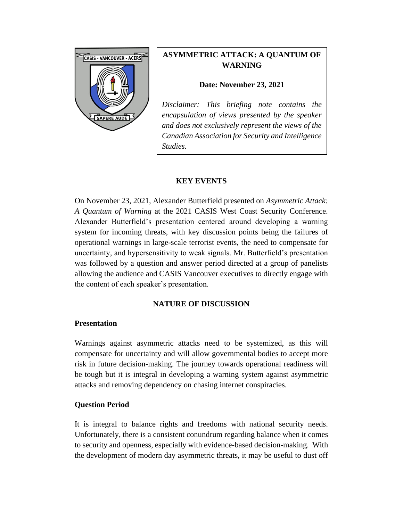

# **ASYMMETRIC ATTACK: A QUANTUM OF WARNING**

#### **Date: November 23, 2021**

*Disclaimer: This briefing note contains the encapsulation of views presented by the speaker and does not exclusively represent the views of the Canadian Association for Security and Intelligence Studies.*

# **KEY EVENTS**

On November 23, 2021, Alexander Butterfield presented on *Asymmetric Attack: A Quantum of Warning* at the 2021 CASIS West Coast Security Conference. Alexander Butterfield's presentation centered around developing a warning system for incoming threats, with key discussion points being the failures of operational warnings in large-scale terrorist events, the need to compensate for uncertainty, and hypersensitivity to weak signals. Mr. Butterfield's presentation was followed by a question and answer period directed at a group of panelists allowing the audience and CASIS Vancouver executives to directly engage with the content of each speaker's presentation.

# **NATURE OF DISCUSSION**

#### **Presentation**

Warnings against asymmetric attacks need to be systemized, as this will compensate for uncertainty and will allow governmental bodies to accept more risk in future decision-making. The journey towards operational readiness will be tough but it is integral in developing a warning system against asymmetric attacks and removing dependency on chasing internet conspiracies.

#### **Question Period**

It is integral to balance rights and freedoms with national security needs. Unfortunately, there is a consistent conundrum regarding balance when it comes to security and openness, especially with evidence-based decision-making. With the development of modern day asymmetric threats, it may be useful to dust off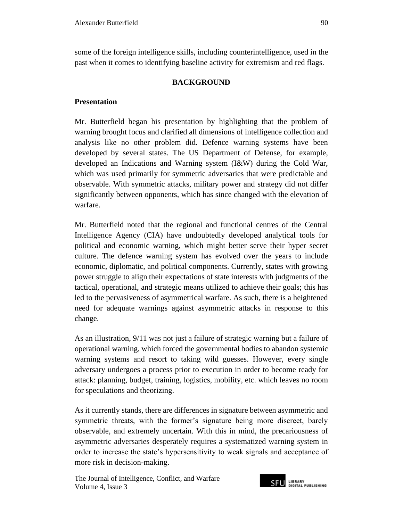some of the foreign intelligence skills, including counterintelligence, used in the past when it comes to identifying baseline activity for extremism and red flags.

#### **BACKGROUND**

#### **Presentation**

Mr. Butterfield began his presentation by highlighting that the problem of warning brought focus and clarified all dimensions of intelligence collection and analysis like no other problem did. Defence warning systems have been developed by several states. The US Department of Defense, for example, developed an Indications and Warning system (I&W) during the Cold War, which was used primarily for symmetric adversaries that were predictable and observable. With symmetric attacks, military power and strategy did not differ significantly between opponents, which has since changed with the elevation of warfare.

Mr. Butterfield noted that the regional and functional centres of the Central Intelligence Agency (CIA) have undoubtedly developed analytical tools for political and economic warning, which might better serve their hyper secret culture. The defence warning system has evolved over the years to include economic, diplomatic, and political components. Currently, states with growing power struggle to align their expectations of state interests with judgments of the tactical, operational, and strategic means utilized to achieve their goals; this has led to the pervasiveness of asymmetrical warfare. As such, there is a heightened need for adequate warnings against asymmetric attacks in response to this change.

As an illustration, 9/11 was not just a failure of strategic warning but a failure of operational warning, which forced the governmental bodies to abandon systemic warning systems and resort to taking wild guesses. However, every single adversary undergoes a process prior to execution in order to become ready for attack: planning, budget, training, logistics, mobility, etc. which leaves no room for speculations and theorizing.

As it currently stands, there are differences in signature between asymmetric and symmetric threats, with the former's signature being more discreet, barely observable, and extremely uncertain. With this in mind, the precariousness of asymmetric adversaries desperately requires a systematized warning system in order to increase the state's hypersensitivity to weak signals and acceptance of more risk in decision-making.

The Journal of Intelligence, Conflict*,* and Warfare Volume 4, Issue 3

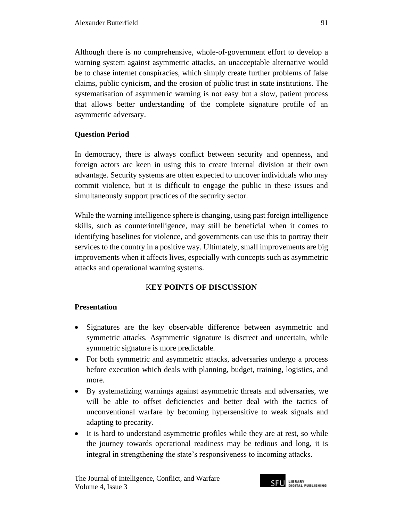Although there is no comprehensive, whole-of-government effort to develop a warning system against asymmetric attacks, an unacceptable alternative would be to chase internet conspiracies, which simply create further problems of false claims, public cynicism, and the erosion of public trust in state institutions. The systematisation of asymmetric warning is not easy but a slow, patient process that allows better understanding of the complete signature profile of an asymmetric adversary.

### **Question Period**

In democracy, there is always conflict between security and openness, and foreign actors are keen in using this to create internal division at their own advantage. Security systems are often expected to uncover individuals who may commit violence, but it is difficult to engage the public in these issues and simultaneously support practices of the security sector.

While the warning intelligence sphere is changing, using past foreign intelligence skills, such as counterintelligence, may still be beneficial when it comes to identifying baselines for violence, and governments can use this to portray their services to the country in a positive way. Ultimately, small improvements are big improvements when it affects lives, especially with concepts such as asymmetric attacks and operational warning systems.

# K**EY POINTS OF DISCUSSION**

# **Presentation**

- Signatures are the key observable difference between asymmetric and symmetric attacks. Asymmetric signature is discreet and uncertain, while symmetric signature is more predictable.
- For both symmetric and asymmetric attacks, adversaries undergo a process before execution which deals with planning, budget, training, logistics, and more.
- By systematizing warnings against asymmetric threats and adversaries, we will be able to offset deficiencies and better deal with the tactics of unconventional warfare by becoming hypersensitive to weak signals and adapting to precarity.
- It is hard to understand asymmetric profiles while they are at rest, so while the journey towards operational readiness may be tedious and long, it is integral in strengthening the state's responsiveness to incoming attacks.